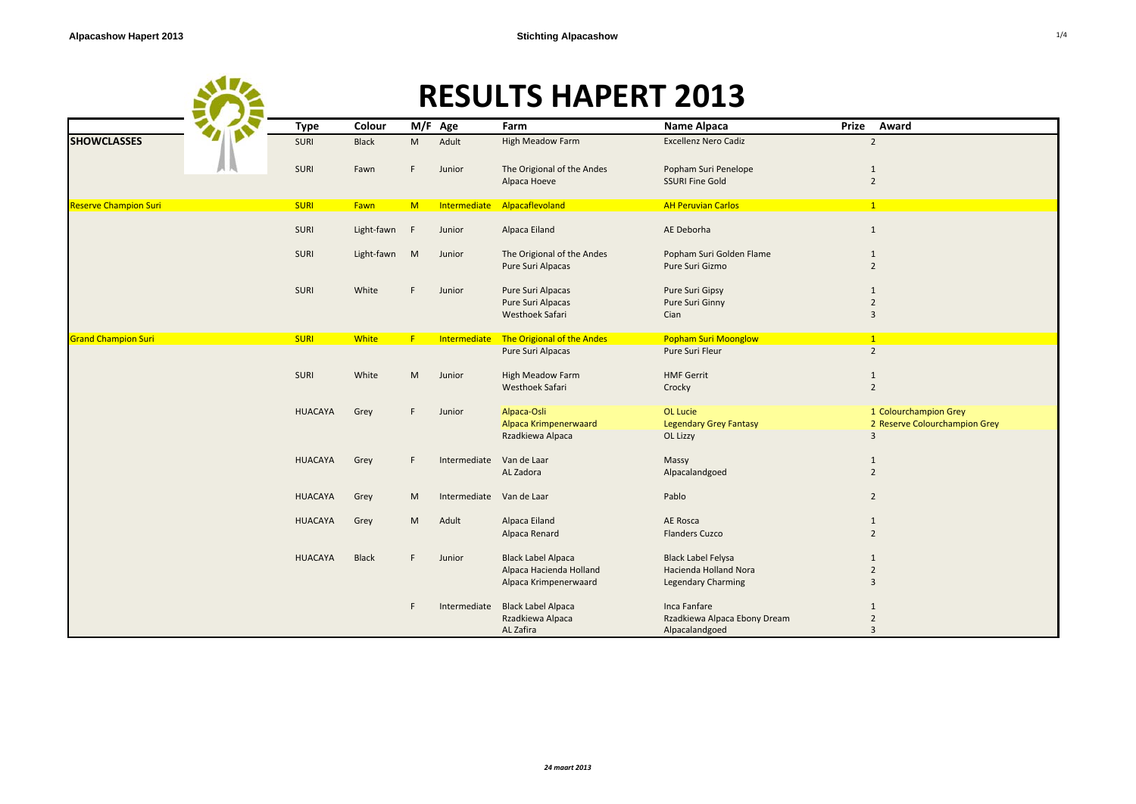|                              |                |              |    | <b>RESULTS HAPERT 2013</b> |                                            |                                                |                                |  |  |
|------------------------------|----------------|--------------|----|----------------------------|--------------------------------------------|------------------------------------------------|--------------------------------|--|--|
|                              | <b>Type</b>    | Colour       |    | M/F Age                    | Farm                                       | Name Alpaca                                    | Prize<br>Award                 |  |  |
| <b>SHOWCLASSES</b>           | <b>SURI</b>    | <b>Black</b> | M  | Adult                      | <b>High Meadow Farm</b>                    | <b>Excellenz Nero Cadiz</b>                    | $\overline{2}$                 |  |  |
|                              | SURI           | Fawn         | F. | Junior                     | The Origional of the Andes<br>Alpaca Hoeve | Popham Suri Penelope<br><b>SSURI Fine Gold</b> | $\mathbf{1}$<br>$\overline{2}$ |  |  |
| <b>Reserve Champion Suri</b> | <b>SURI</b>    | Fawn         | M  |                            | Intermediate Alpacaflevoland               | <b>AH Peruvian Carlos</b>                      | $\mathbf{1}$                   |  |  |
|                              | <b>SURI</b>    | Light-fawn F |    | Junior                     | Alpaca Eiland                              | AE Deborha                                     | $\mathbf{1}$                   |  |  |
|                              | <b>SURI</b>    | Light-fawn   | M  | Junior                     | The Origional of the Andes                 | Popham Suri Golden Flame                       | $\mathbf{1}$                   |  |  |
|                              |                |              |    |                            | Pure Suri Alpacas                          | Pure Suri Gizmo                                | $\overline{2}$                 |  |  |
|                              | <b>SURI</b>    | White        | F  | Junior                     | Pure Suri Alpacas                          | Pure Suri Gipsy                                | 1                              |  |  |
|                              |                |              |    |                            | Pure Suri Alpacas                          | Pure Suri Ginny                                | $\overline{2}$                 |  |  |
|                              |                |              |    |                            | Westhoek Safari                            | Cian                                           | $\overline{3}$                 |  |  |
| <b>Grand Champion Suri</b>   | <b>SURI</b>    | <b>White</b> | F  | Intermediate               | The Origional of the Andes                 | <b>Popham Suri Moonglow</b>                    | $\mathbf{1}$                   |  |  |
|                              |                |              |    |                            | Pure Suri Alpacas                          | Pure Suri Fleur                                | $\overline{2}$                 |  |  |
|                              | <b>SURI</b>    | White        | M  | Junior                     | <b>High Meadow Farm</b>                    | <b>HMF Gerrit</b>                              | $\mathbf{1}$                   |  |  |
|                              |                |              |    |                            | <b>Westhoek Safari</b>                     | Crocky                                         | $\overline{2}$                 |  |  |
|                              | <b>HUACAYA</b> | Grey         | F  | Junior                     | Alpaca-Osli                                | <b>OL Lucie</b>                                | 1 Colourchampion Grey          |  |  |
|                              |                |              |    |                            | Alpaca Krimpenerwaard                      | <b>Legendary Grey Fantasy</b>                  | 2 Reserve Colourchampion Grey  |  |  |
|                              |                |              |    |                            | Rzadkiewa Alpaca                           | OL Lizzy                                       | 3                              |  |  |
|                              | <b>HUACAYA</b> | Grey         | F. | Intermediate Van de Laar   |                                            | Massy                                          | $\mathbf{1}$                   |  |  |
|                              |                |              |    |                            | AL Zadora                                  | Alpacalandgoed                                 | $\overline{2}$                 |  |  |
|                              | <b>HUACAYA</b> | Grey         | M  | Intermediate Van de Laar   |                                            | Pablo                                          | $\overline{2}$                 |  |  |
|                              | <b>HUACAYA</b> | Grey         | M  | Adult                      | Alpaca Eiland                              | <b>AE Rosca</b>                                | $\mathbf{1}$                   |  |  |
|                              |                |              |    |                            | Alpaca Renard                              | <b>Flanders Cuzco</b>                          | $\overline{2}$                 |  |  |
|                              | <b>HUACAYA</b> | <b>Black</b> | F. | Junior                     | <b>Black Label Alpaca</b>                  | <b>Black Label Felysa</b>                      | $\mathbf{1}$                   |  |  |
|                              |                |              |    |                            | Alpaca Hacienda Holland                    | <b>Hacienda Holland Nora</b>                   | $\overline{2}$                 |  |  |
|                              |                |              |    |                            | Alpaca Krimpenerwaard                      | <b>Legendary Charming</b>                      | 3                              |  |  |
|                              |                |              | E  |                            | Intermediate Black Label Alpaca            | Inca Fanfare                                   | 1                              |  |  |
|                              |                |              |    |                            | Rzadkiewa Alpaca                           | Rzadkiewa Alpaca Ebony Dream                   | $\overline{2}$                 |  |  |
|                              |                |              |    |                            | AL Zafira                                  | Alpacalandgoed                                 | 3                              |  |  |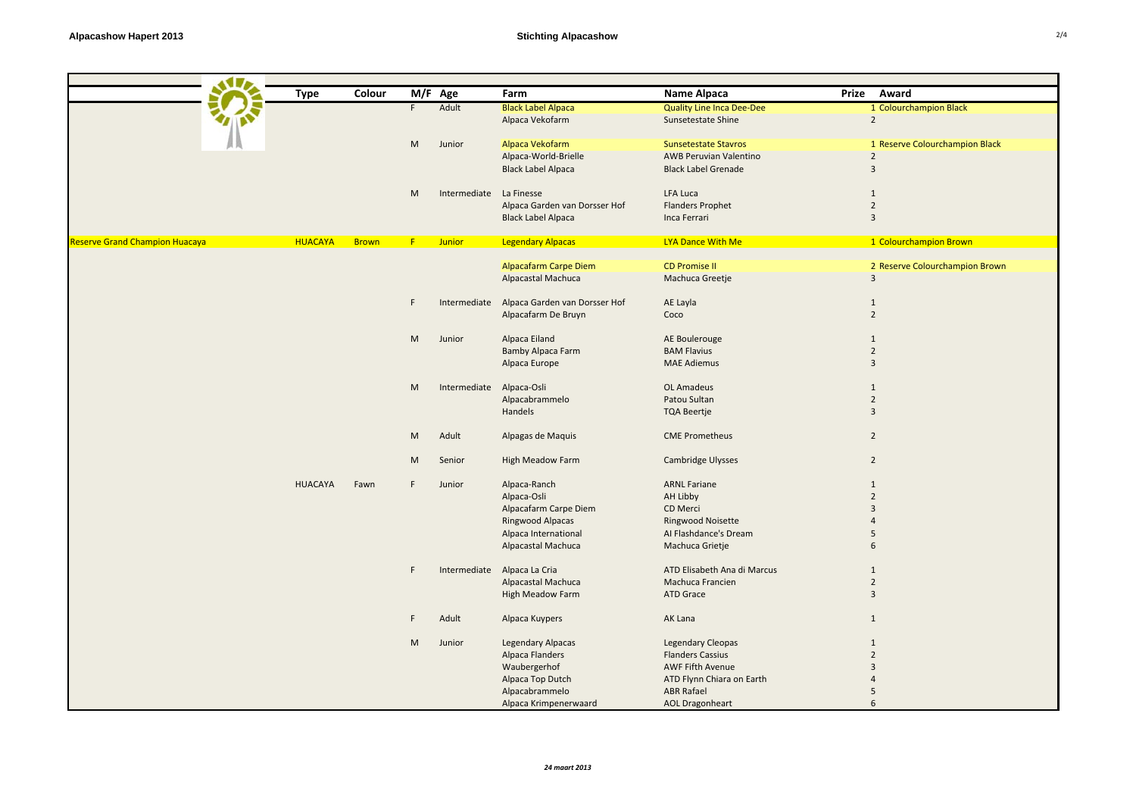|                                | <b>Type</b>    | Colour       |                 | $\overline{M}/F$ Age     | Farm                                       | Name Alpaca                      | Prize Award                         |
|--------------------------------|----------------|--------------|-----------------|--------------------------|--------------------------------------------|----------------------------------|-------------------------------------|
|                                |                |              | F.              | Adult                    | <b>Black Label Alpaca</b>                  | <b>Quality Line Inca Dee-Dee</b> | 1 Colourchampion Black              |
|                                |                |              |                 |                          | Alpaca Vekofarm                            | Sunsetestate Shine               | $\overline{2}$                      |
|                                |                |              |                 |                          |                                            |                                  |                                     |
|                                |                |              | M               | Junior                   | Alpaca Vekofarm                            | <b>Sunsetestate Stavros</b>      | 1 Reserve Colourchampion Black      |
|                                |                |              |                 |                          | Alpaca-World-Brielle                       | AWB Peruvian Valentino           | $\overline{2}$                      |
|                                |                |              |                 |                          | <b>Black Label Alpaca</b>                  | <b>Black Label Grenade</b>       | $\mathbf{3}$                        |
|                                |                |              |                 |                          |                                            |                                  |                                     |
|                                |                |              | M               | Intermediate La Finesse  |                                            | LFA Luca                         | 1                                   |
|                                |                |              |                 |                          | Alpaca Garden van Dorsser Hof              | <b>Flanders Prophet</b>          | $\overline{2}$                      |
|                                |                |              |                 |                          | <b>Black Label Alpaca</b>                  | Inca Ferrari                     | $\overline{3}$                      |
| Reserve Grand Champion Huacaya | <b>HUACAYA</b> | <b>Brown</b> | <b>E</b> Junior |                          | <b>Legendary Alpacas</b>                   | LYA Dance With Me                | 1 Colourchampion Brown              |
|                                |                |              |                 |                          |                                            | <b>CD Promise II</b>             |                                     |
|                                |                |              |                 |                          | <b>Alpacafarm Carpe Diem</b>               |                                  | 2 Reserve Colourchampion Brown<br>3 |
|                                |                |              |                 |                          | Alpacastal Machuca                         | Machuca Greetje                  |                                     |
|                                |                |              | F.              |                          | Intermediate Alpaca Garden van Dorsser Hof | AE Layla                         | 1                                   |
|                                |                |              |                 |                          | Alpacafarm De Bruyn                        | Coco                             | $\overline{2}$                      |
|                                |                |              |                 |                          |                                            |                                  |                                     |
|                                |                |              | M               | Junior                   | Alpaca Eiland                              | AE Boulerouge                    | $\mathbf{1}$                        |
|                                |                |              |                 |                          | <b>Bamby Alpaca Farm</b>                   | <b>BAM Flavius</b>               | $\overline{2}$                      |
|                                |                |              |                 |                          | Alpaca Europe                              | <b>MAE Adiemus</b>               | $\overline{3}$                      |
|                                |                |              |                 |                          |                                            |                                  |                                     |
|                                |                |              | M               | Intermediate Alpaca-Osli |                                            | OL Amadeus                       | 1                                   |
|                                |                |              |                 |                          | Alpacabrammelo                             | Patou Sultan                     | $\overline{2}$                      |
|                                |                |              |                 |                          | Handels                                    | <b>TQA Beertje</b>               | $\overline{3}$                      |
|                                |                |              | M               | Adult                    | Alpagas de Maquis                          | <b>CME Prometheus</b>            | $\overline{2}$                      |
|                                |                |              |                 |                          |                                            |                                  |                                     |
|                                |                |              | M               | Senior                   | High Meadow Farm                           | Cambridge Ulysses                | $\overline{2}$                      |
|                                | <b>HUACAYA</b> | Fawn         | F               | Junior                   | Alpaca-Ranch                               | <b>ARNL Fariane</b>              | $\mathbf{1}$                        |
|                                |                |              |                 |                          | Alpaca-Osli                                | AH Libby                         | $\overline{2}$                      |
|                                |                |              |                 |                          | Alpacafarm Carpe Diem                      | CD Merci                         | $\overline{3}$                      |
|                                |                |              |                 |                          | Ringwood Alpacas                           | Ringwood Noisette                | $\overline{4}$                      |
|                                |                |              |                 |                          | Alpaca International                       | Al Flashdance's Dream            | 5                                   |
|                                |                |              |                 |                          | Alpacastal Machuca                         | Machuca Grietje                  | 6                                   |
|                                |                |              | F               |                          | Intermediate Alpaca La Cria                | ATD Elisabeth Ana di Marcus      | 1                                   |
|                                |                |              |                 |                          | Alpacastal Machuca                         | Machuca Francien                 | $\overline{2}$                      |
|                                |                |              |                 |                          | High Meadow Farm                           | <b>ATD Grace</b>                 | $\overline{3}$                      |
|                                |                |              |                 |                          |                                            |                                  |                                     |
|                                |                |              | F               | Adult                    | Alpaca Kuypers                             | AK Lana                          | 1                                   |
|                                |                |              | M               | Junior                   | <b>Legendary Alpacas</b>                   | Legendary Cleopas                | 1                                   |
|                                |                |              |                 |                          | Alpaca Flanders                            | <b>Flanders Cassius</b>          | $\overline{2}$                      |
|                                |                |              |                 |                          | Waubergerhof                               | <b>AWF Fifth Avenue</b>          | 3                                   |
|                                |                |              |                 |                          | Alpaca Top Dutch                           | ATD Flynn Chiara on Earth        | 4                                   |
|                                |                |              |                 |                          | Alpacabrammelo                             | <b>ABR Rafael</b>                | 5                                   |
|                                |                |              |                 |                          | Alpaca Krimpenerwaard                      | <b>AOL Dragonheart</b>           | $\mathsf{f}$                        |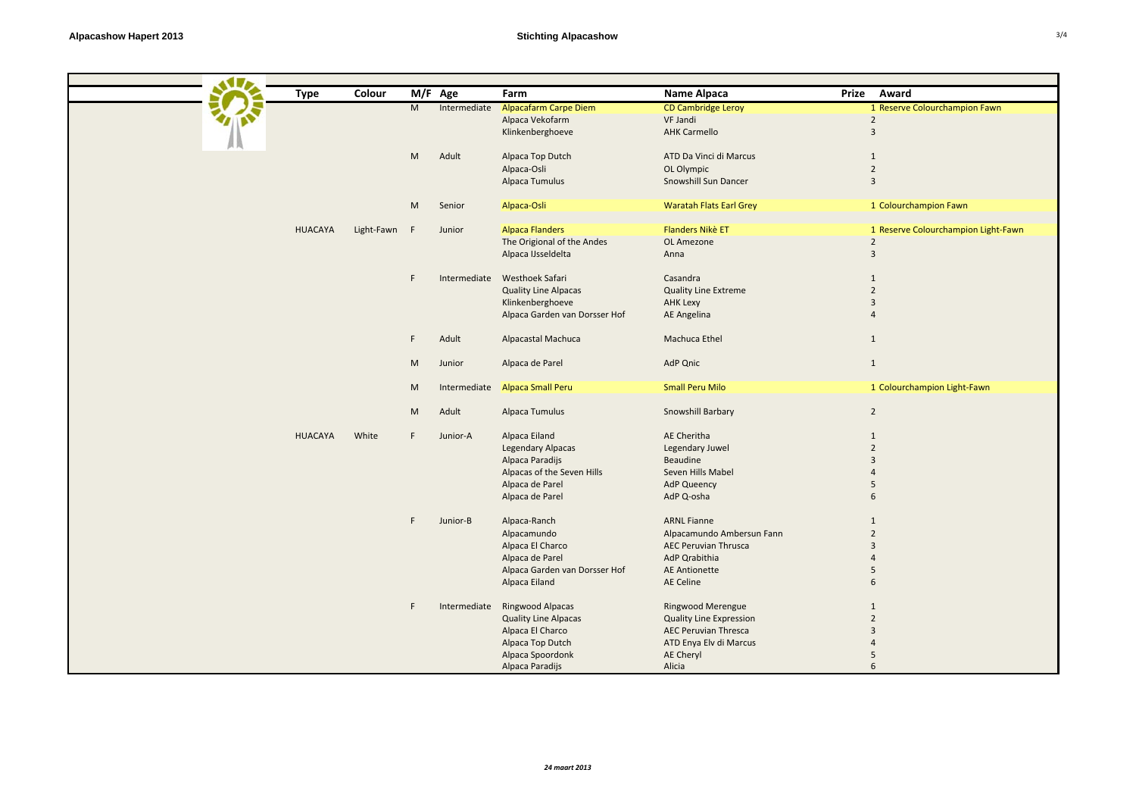| Colour<br>M/F Age<br>Farm<br>Name Alpaca<br>Prize Award<br><b>Type</b><br>${\sf M}$<br>Intermediate<br><b>Alpacafarm Carpe Diem</b><br><b>CD Cambridge Leroy</b><br>1 Reserve Colourchampion Fawn<br>$\overline{2}$<br>Alpaca Vekofarm<br>VF Jandi<br>$\overline{3}$<br>Klinkenberghoeve<br><b>AHK Carmello</b><br>Adult<br>Alpaca Top Dutch<br>ATD Da Vinci di Marcus<br>$\mathbf{1}$<br>M<br>$\overline{2}$<br>Alpaca-Osli<br>OL Olympic<br>$\overline{3}$<br>Snowshill Sun Dancer<br>Alpaca Tumulus<br><b>Waratah Flats Earl Grey</b><br>1 Colourchampion Fawn<br>Alpaca-Osli<br>M<br>Senior<br><b>HUACAYA</b><br>Light-Fawn F<br><b>Alpaca Flanders</b><br><b>Flanders Nikè ET</b><br>1 Reserve Colourchampion Light-Fawn<br>Junior<br>The Origional of the Andes<br>$\overline{2}$<br>OL Amezone<br>$\overline{3}$<br>Alpaca IJsseldelta<br>Anna<br>Intermediate Westhoek Safari<br>Casandra<br>F<br>$\mathbf{1}$<br>$\overline{2}$<br><b>Quality Line Alpacas</b><br><b>Quality Line Extreme</b><br>$\overline{3}$<br>Klinkenberghoeve<br><b>AHK Lexy</b><br>Alpaca Garden van Dorsser Hof<br>AE Angelina<br>$\overline{4}$<br>F.<br>Adult<br>Alpacastal Machuca<br>Machuca Ethel<br>1<br>Alpaca de Parel<br>AdP Qnic<br>$\mathbf{1}$<br>M<br>Junior<br><b>Small Peru Milo</b><br>1 Colourchampion Light-Fawn<br><b>Alpaca Small Peru</b><br>M<br>Intermediate<br>Adult<br>Snowshill Barbary<br>$\overline{2}$<br>M<br>Alpaca Tumulus<br>AE Cheritha<br><b>HUACAYA</b><br>White<br>Alpaca Eiland<br>F.<br>Junior-A<br>1<br>$\overline{2}$<br><b>Legendary Alpacas</b><br>Legendary Juwel<br>Alpaca Paradijs<br>Beaudine<br>$\overline{3}$<br>Alpacas of the Seven Hills<br>Seven Hills Mabel<br>$\overline{4}$<br>Alpaca de Parel<br><b>AdP Queency</b><br>5<br>Alpaca de Parel<br>AdP Q-osha<br>6<br>F.<br>Junior-B<br>Alpaca-Ranch<br><b>ARNL Fianne</b><br>$\mathbf{1}$<br>Alpacamundo<br>Alpacamundo Ambersun Fann<br>$\overline{2}$<br>Alpaca El Charco<br><b>AEC Peruvian Thrusca</b><br>$\mathbf{3}$<br>Alpaca de Parel<br>AdP Qrabithia<br>$\overline{4}$<br>Alpaca Garden van Dorsser Hof<br><b>AE Antionette</b><br>5<br>Alpaca Eiland<br>AE Celine<br>6<br>Intermediate Ringwood Alpacas<br>Ringwood Merengue<br>F<br>$\mathbf{1}$<br>$\overline{2}$<br><b>Quality Line Alpacas</b><br><b>Quality Line Expression</b> |  |  |  |  |  |
|----------------------------------------------------------------------------------------------------------------------------------------------------------------------------------------------------------------------------------------------------------------------------------------------------------------------------------------------------------------------------------------------------------------------------------------------------------------------------------------------------------------------------------------------------------------------------------------------------------------------------------------------------------------------------------------------------------------------------------------------------------------------------------------------------------------------------------------------------------------------------------------------------------------------------------------------------------------------------------------------------------------------------------------------------------------------------------------------------------------------------------------------------------------------------------------------------------------------------------------------------------------------------------------------------------------------------------------------------------------------------------------------------------------------------------------------------------------------------------------------------------------------------------------------------------------------------------------------------------------------------------------------------------------------------------------------------------------------------------------------------------------------------------------------------------------------------------------------------------------------------------------------------------------------------------------------------------------------------------------------------------------------------------------------------------------------------------------------------------------------------------------------------------------------------------------------------------------------------------------------------------------------------------------------------------------------------------------|--|--|--|--|--|
|                                                                                                                                                                                                                                                                                                                                                                                                                                                                                                                                                                                                                                                                                                                                                                                                                                                                                                                                                                                                                                                                                                                                                                                                                                                                                                                                                                                                                                                                                                                                                                                                                                                                                                                                                                                                                                                                                                                                                                                                                                                                                                                                                                                                                                                                                                                                        |  |  |  |  |  |
|                                                                                                                                                                                                                                                                                                                                                                                                                                                                                                                                                                                                                                                                                                                                                                                                                                                                                                                                                                                                                                                                                                                                                                                                                                                                                                                                                                                                                                                                                                                                                                                                                                                                                                                                                                                                                                                                                                                                                                                                                                                                                                                                                                                                                                                                                                                                        |  |  |  |  |  |
|                                                                                                                                                                                                                                                                                                                                                                                                                                                                                                                                                                                                                                                                                                                                                                                                                                                                                                                                                                                                                                                                                                                                                                                                                                                                                                                                                                                                                                                                                                                                                                                                                                                                                                                                                                                                                                                                                                                                                                                                                                                                                                                                                                                                                                                                                                                                        |  |  |  |  |  |
|                                                                                                                                                                                                                                                                                                                                                                                                                                                                                                                                                                                                                                                                                                                                                                                                                                                                                                                                                                                                                                                                                                                                                                                                                                                                                                                                                                                                                                                                                                                                                                                                                                                                                                                                                                                                                                                                                                                                                                                                                                                                                                                                                                                                                                                                                                                                        |  |  |  |  |  |
|                                                                                                                                                                                                                                                                                                                                                                                                                                                                                                                                                                                                                                                                                                                                                                                                                                                                                                                                                                                                                                                                                                                                                                                                                                                                                                                                                                                                                                                                                                                                                                                                                                                                                                                                                                                                                                                                                                                                                                                                                                                                                                                                                                                                                                                                                                                                        |  |  |  |  |  |
|                                                                                                                                                                                                                                                                                                                                                                                                                                                                                                                                                                                                                                                                                                                                                                                                                                                                                                                                                                                                                                                                                                                                                                                                                                                                                                                                                                                                                                                                                                                                                                                                                                                                                                                                                                                                                                                                                                                                                                                                                                                                                                                                                                                                                                                                                                                                        |  |  |  |  |  |
|                                                                                                                                                                                                                                                                                                                                                                                                                                                                                                                                                                                                                                                                                                                                                                                                                                                                                                                                                                                                                                                                                                                                                                                                                                                                                                                                                                                                                                                                                                                                                                                                                                                                                                                                                                                                                                                                                                                                                                                                                                                                                                                                                                                                                                                                                                                                        |  |  |  |  |  |
|                                                                                                                                                                                                                                                                                                                                                                                                                                                                                                                                                                                                                                                                                                                                                                                                                                                                                                                                                                                                                                                                                                                                                                                                                                                                                                                                                                                                                                                                                                                                                                                                                                                                                                                                                                                                                                                                                                                                                                                                                                                                                                                                                                                                                                                                                                                                        |  |  |  |  |  |
|                                                                                                                                                                                                                                                                                                                                                                                                                                                                                                                                                                                                                                                                                                                                                                                                                                                                                                                                                                                                                                                                                                                                                                                                                                                                                                                                                                                                                                                                                                                                                                                                                                                                                                                                                                                                                                                                                                                                                                                                                                                                                                                                                                                                                                                                                                                                        |  |  |  |  |  |
|                                                                                                                                                                                                                                                                                                                                                                                                                                                                                                                                                                                                                                                                                                                                                                                                                                                                                                                                                                                                                                                                                                                                                                                                                                                                                                                                                                                                                                                                                                                                                                                                                                                                                                                                                                                                                                                                                                                                                                                                                                                                                                                                                                                                                                                                                                                                        |  |  |  |  |  |
|                                                                                                                                                                                                                                                                                                                                                                                                                                                                                                                                                                                                                                                                                                                                                                                                                                                                                                                                                                                                                                                                                                                                                                                                                                                                                                                                                                                                                                                                                                                                                                                                                                                                                                                                                                                                                                                                                                                                                                                                                                                                                                                                                                                                                                                                                                                                        |  |  |  |  |  |
|                                                                                                                                                                                                                                                                                                                                                                                                                                                                                                                                                                                                                                                                                                                                                                                                                                                                                                                                                                                                                                                                                                                                                                                                                                                                                                                                                                                                                                                                                                                                                                                                                                                                                                                                                                                                                                                                                                                                                                                                                                                                                                                                                                                                                                                                                                                                        |  |  |  |  |  |
|                                                                                                                                                                                                                                                                                                                                                                                                                                                                                                                                                                                                                                                                                                                                                                                                                                                                                                                                                                                                                                                                                                                                                                                                                                                                                                                                                                                                                                                                                                                                                                                                                                                                                                                                                                                                                                                                                                                                                                                                                                                                                                                                                                                                                                                                                                                                        |  |  |  |  |  |
|                                                                                                                                                                                                                                                                                                                                                                                                                                                                                                                                                                                                                                                                                                                                                                                                                                                                                                                                                                                                                                                                                                                                                                                                                                                                                                                                                                                                                                                                                                                                                                                                                                                                                                                                                                                                                                                                                                                                                                                                                                                                                                                                                                                                                                                                                                                                        |  |  |  |  |  |
|                                                                                                                                                                                                                                                                                                                                                                                                                                                                                                                                                                                                                                                                                                                                                                                                                                                                                                                                                                                                                                                                                                                                                                                                                                                                                                                                                                                                                                                                                                                                                                                                                                                                                                                                                                                                                                                                                                                                                                                                                                                                                                                                                                                                                                                                                                                                        |  |  |  |  |  |
|                                                                                                                                                                                                                                                                                                                                                                                                                                                                                                                                                                                                                                                                                                                                                                                                                                                                                                                                                                                                                                                                                                                                                                                                                                                                                                                                                                                                                                                                                                                                                                                                                                                                                                                                                                                                                                                                                                                                                                                                                                                                                                                                                                                                                                                                                                                                        |  |  |  |  |  |
|                                                                                                                                                                                                                                                                                                                                                                                                                                                                                                                                                                                                                                                                                                                                                                                                                                                                                                                                                                                                                                                                                                                                                                                                                                                                                                                                                                                                                                                                                                                                                                                                                                                                                                                                                                                                                                                                                                                                                                                                                                                                                                                                                                                                                                                                                                                                        |  |  |  |  |  |
|                                                                                                                                                                                                                                                                                                                                                                                                                                                                                                                                                                                                                                                                                                                                                                                                                                                                                                                                                                                                                                                                                                                                                                                                                                                                                                                                                                                                                                                                                                                                                                                                                                                                                                                                                                                                                                                                                                                                                                                                                                                                                                                                                                                                                                                                                                                                        |  |  |  |  |  |
|                                                                                                                                                                                                                                                                                                                                                                                                                                                                                                                                                                                                                                                                                                                                                                                                                                                                                                                                                                                                                                                                                                                                                                                                                                                                                                                                                                                                                                                                                                                                                                                                                                                                                                                                                                                                                                                                                                                                                                                                                                                                                                                                                                                                                                                                                                                                        |  |  |  |  |  |
|                                                                                                                                                                                                                                                                                                                                                                                                                                                                                                                                                                                                                                                                                                                                                                                                                                                                                                                                                                                                                                                                                                                                                                                                                                                                                                                                                                                                                                                                                                                                                                                                                                                                                                                                                                                                                                                                                                                                                                                                                                                                                                                                                                                                                                                                                                                                        |  |  |  |  |  |
|                                                                                                                                                                                                                                                                                                                                                                                                                                                                                                                                                                                                                                                                                                                                                                                                                                                                                                                                                                                                                                                                                                                                                                                                                                                                                                                                                                                                                                                                                                                                                                                                                                                                                                                                                                                                                                                                                                                                                                                                                                                                                                                                                                                                                                                                                                                                        |  |  |  |  |  |
|                                                                                                                                                                                                                                                                                                                                                                                                                                                                                                                                                                                                                                                                                                                                                                                                                                                                                                                                                                                                                                                                                                                                                                                                                                                                                                                                                                                                                                                                                                                                                                                                                                                                                                                                                                                                                                                                                                                                                                                                                                                                                                                                                                                                                                                                                                                                        |  |  |  |  |  |
|                                                                                                                                                                                                                                                                                                                                                                                                                                                                                                                                                                                                                                                                                                                                                                                                                                                                                                                                                                                                                                                                                                                                                                                                                                                                                                                                                                                                                                                                                                                                                                                                                                                                                                                                                                                                                                                                                                                                                                                                                                                                                                                                                                                                                                                                                                                                        |  |  |  |  |  |
|                                                                                                                                                                                                                                                                                                                                                                                                                                                                                                                                                                                                                                                                                                                                                                                                                                                                                                                                                                                                                                                                                                                                                                                                                                                                                                                                                                                                                                                                                                                                                                                                                                                                                                                                                                                                                                                                                                                                                                                                                                                                                                                                                                                                                                                                                                                                        |  |  |  |  |  |
|                                                                                                                                                                                                                                                                                                                                                                                                                                                                                                                                                                                                                                                                                                                                                                                                                                                                                                                                                                                                                                                                                                                                                                                                                                                                                                                                                                                                                                                                                                                                                                                                                                                                                                                                                                                                                                                                                                                                                                                                                                                                                                                                                                                                                                                                                                                                        |  |  |  |  |  |
|                                                                                                                                                                                                                                                                                                                                                                                                                                                                                                                                                                                                                                                                                                                                                                                                                                                                                                                                                                                                                                                                                                                                                                                                                                                                                                                                                                                                                                                                                                                                                                                                                                                                                                                                                                                                                                                                                                                                                                                                                                                                                                                                                                                                                                                                                                                                        |  |  |  |  |  |
|                                                                                                                                                                                                                                                                                                                                                                                                                                                                                                                                                                                                                                                                                                                                                                                                                                                                                                                                                                                                                                                                                                                                                                                                                                                                                                                                                                                                                                                                                                                                                                                                                                                                                                                                                                                                                                                                                                                                                                                                                                                                                                                                                                                                                                                                                                                                        |  |  |  |  |  |
|                                                                                                                                                                                                                                                                                                                                                                                                                                                                                                                                                                                                                                                                                                                                                                                                                                                                                                                                                                                                                                                                                                                                                                                                                                                                                                                                                                                                                                                                                                                                                                                                                                                                                                                                                                                                                                                                                                                                                                                                                                                                                                                                                                                                                                                                                                                                        |  |  |  |  |  |
|                                                                                                                                                                                                                                                                                                                                                                                                                                                                                                                                                                                                                                                                                                                                                                                                                                                                                                                                                                                                                                                                                                                                                                                                                                                                                                                                                                                                                                                                                                                                                                                                                                                                                                                                                                                                                                                                                                                                                                                                                                                                                                                                                                                                                                                                                                                                        |  |  |  |  |  |
|                                                                                                                                                                                                                                                                                                                                                                                                                                                                                                                                                                                                                                                                                                                                                                                                                                                                                                                                                                                                                                                                                                                                                                                                                                                                                                                                                                                                                                                                                                                                                                                                                                                                                                                                                                                                                                                                                                                                                                                                                                                                                                                                                                                                                                                                                                                                        |  |  |  |  |  |
|                                                                                                                                                                                                                                                                                                                                                                                                                                                                                                                                                                                                                                                                                                                                                                                                                                                                                                                                                                                                                                                                                                                                                                                                                                                                                                                                                                                                                                                                                                                                                                                                                                                                                                                                                                                                                                                                                                                                                                                                                                                                                                                                                                                                                                                                                                                                        |  |  |  |  |  |
|                                                                                                                                                                                                                                                                                                                                                                                                                                                                                                                                                                                                                                                                                                                                                                                                                                                                                                                                                                                                                                                                                                                                                                                                                                                                                                                                                                                                                                                                                                                                                                                                                                                                                                                                                                                                                                                                                                                                                                                                                                                                                                                                                                                                                                                                                                                                        |  |  |  |  |  |
|                                                                                                                                                                                                                                                                                                                                                                                                                                                                                                                                                                                                                                                                                                                                                                                                                                                                                                                                                                                                                                                                                                                                                                                                                                                                                                                                                                                                                                                                                                                                                                                                                                                                                                                                                                                                                                                                                                                                                                                                                                                                                                                                                                                                                                                                                                                                        |  |  |  |  |  |
|                                                                                                                                                                                                                                                                                                                                                                                                                                                                                                                                                                                                                                                                                                                                                                                                                                                                                                                                                                                                                                                                                                                                                                                                                                                                                                                                                                                                                                                                                                                                                                                                                                                                                                                                                                                                                                                                                                                                                                                                                                                                                                                                                                                                                                                                                                                                        |  |  |  |  |  |
|                                                                                                                                                                                                                                                                                                                                                                                                                                                                                                                                                                                                                                                                                                                                                                                                                                                                                                                                                                                                                                                                                                                                                                                                                                                                                                                                                                                                                                                                                                                                                                                                                                                                                                                                                                                                                                                                                                                                                                                                                                                                                                                                                                                                                                                                                                                                        |  |  |  |  |  |
|                                                                                                                                                                                                                                                                                                                                                                                                                                                                                                                                                                                                                                                                                                                                                                                                                                                                                                                                                                                                                                                                                                                                                                                                                                                                                                                                                                                                                                                                                                                                                                                                                                                                                                                                                                                                                                                                                                                                                                                                                                                                                                                                                                                                                                                                                                                                        |  |  |  |  |  |
|                                                                                                                                                                                                                                                                                                                                                                                                                                                                                                                                                                                                                                                                                                                                                                                                                                                                                                                                                                                                                                                                                                                                                                                                                                                                                                                                                                                                                                                                                                                                                                                                                                                                                                                                                                                                                                                                                                                                                                                                                                                                                                                                                                                                                                                                                                                                        |  |  |  |  |  |
|                                                                                                                                                                                                                                                                                                                                                                                                                                                                                                                                                                                                                                                                                                                                                                                                                                                                                                                                                                                                                                                                                                                                                                                                                                                                                                                                                                                                                                                                                                                                                                                                                                                                                                                                                                                                                                                                                                                                                                                                                                                                                                                                                                                                                                                                                                                                        |  |  |  |  |  |
|                                                                                                                                                                                                                                                                                                                                                                                                                                                                                                                                                                                                                                                                                                                                                                                                                                                                                                                                                                                                                                                                                                                                                                                                                                                                                                                                                                                                                                                                                                                                                                                                                                                                                                                                                                                                                                                                                                                                                                                                                                                                                                                                                                                                                                                                                                                                        |  |  |  |  |  |
|                                                                                                                                                                                                                                                                                                                                                                                                                                                                                                                                                                                                                                                                                                                                                                                                                                                                                                                                                                                                                                                                                                                                                                                                                                                                                                                                                                                                                                                                                                                                                                                                                                                                                                                                                                                                                                                                                                                                                                                                                                                                                                                                                                                                                                                                                                                                        |  |  |  |  |  |
|                                                                                                                                                                                                                                                                                                                                                                                                                                                                                                                                                                                                                                                                                                                                                                                                                                                                                                                                                                                                                                                                                                                                                                                                                                                                                                                                                                                                                                                                                                                                                                                                                                                                                                                                                                                                                                                                                                                                                                                                                                                                                                                                                                                                                                                                                                                                        |  |  |  |  |  |
|                                                                                                                                                                                                                                                                                                                                                                                                                                                                                                                                                                                                                                                                                                                                                                                                                                                                                                                                                                                                                                                                                                                                                                                                                                                                                                                                                                                                                                                                                                                                                                                                                                                                                                                                                                                                                                                                                                                                                                                                                                                                                                                                                                                                                                                                                                                                        |  |  |  |  |  |
|                                                                                                                                                                                                                                                                                                                                                                                                                                                                                                                                                                                                                                                                                                                                                                                                                                                                                                                                                                                                                                                                                                                                                                                                                                                                                                                                                                                                                                                                                                                                                                                                                                                                                                                                                                                                                                                                                                                                                                                                                                                                                                                                                                                                                                                                                                                                        |  |  |  |  |  |
| Alpaca El Charco<br><b>AEC Peruvian Thresca</b><br>$\overline{3}$                                                                                                                                                                                                                                                                                                                                                                                                                                                                                                                                                                                                                                                                                                                                                                                                                                                                                                                                                                                                                                                                                                                                                                                                                                                                                                                                                                                                                                                                                                                                                                                                                                                                                                                                                                                                                                                                                                                                                                                                                                                                                                                                                                                                                                                                      |  |  |  |  |  |
| Alpaca Top Dutch<br>ATD Enya Elv di Marcus<br>$\overline{4}$                                                                                                                                                                                                                                                                                                                                                                                                                                                                                                                                                                                                                                                                                                                                                                                                                                                                                                                                                                                                                                                                                                                                                                                                                                                                                                                                                                                                                                                                                                                                                                                                                                                                                                                                                                                                                                                                                                                                                                                                                                                                                                                                                                                                                                                                           |  |  |  |  |  |
| Alpaca Spoordonk<br>AE Cheryl<br>5                                                                                                                                                                                                                                                                                                                                                                                                                                                                                                                                                                                                                                                                                                                                                                                                                                                                                                                                                                                                                                                                                                                                                                                                                                                                                                                                                                                                                                                                                                                                                                                                                                                                                                                                                                                                                                                                                                                                                                                                                                                                                                                                                                                                                                                                                                     |  |  |  |  |  |
| 6<br>Alpaca Paradijs<br>Alicia                                                                                                                                                                                                                                                                                                                                                                                                                                                                                                                                                                                                                                                                                                                                                                                                                                                                                                                                                                                                                                                                                                                                                                                                                                                                                                                                                                                                                                                                                                                                                                                                                                                                                                                                                                                                                                                                                                                                                                                                                                                                                                                                                                                                                                                                                                         |  |  |  |  |  |